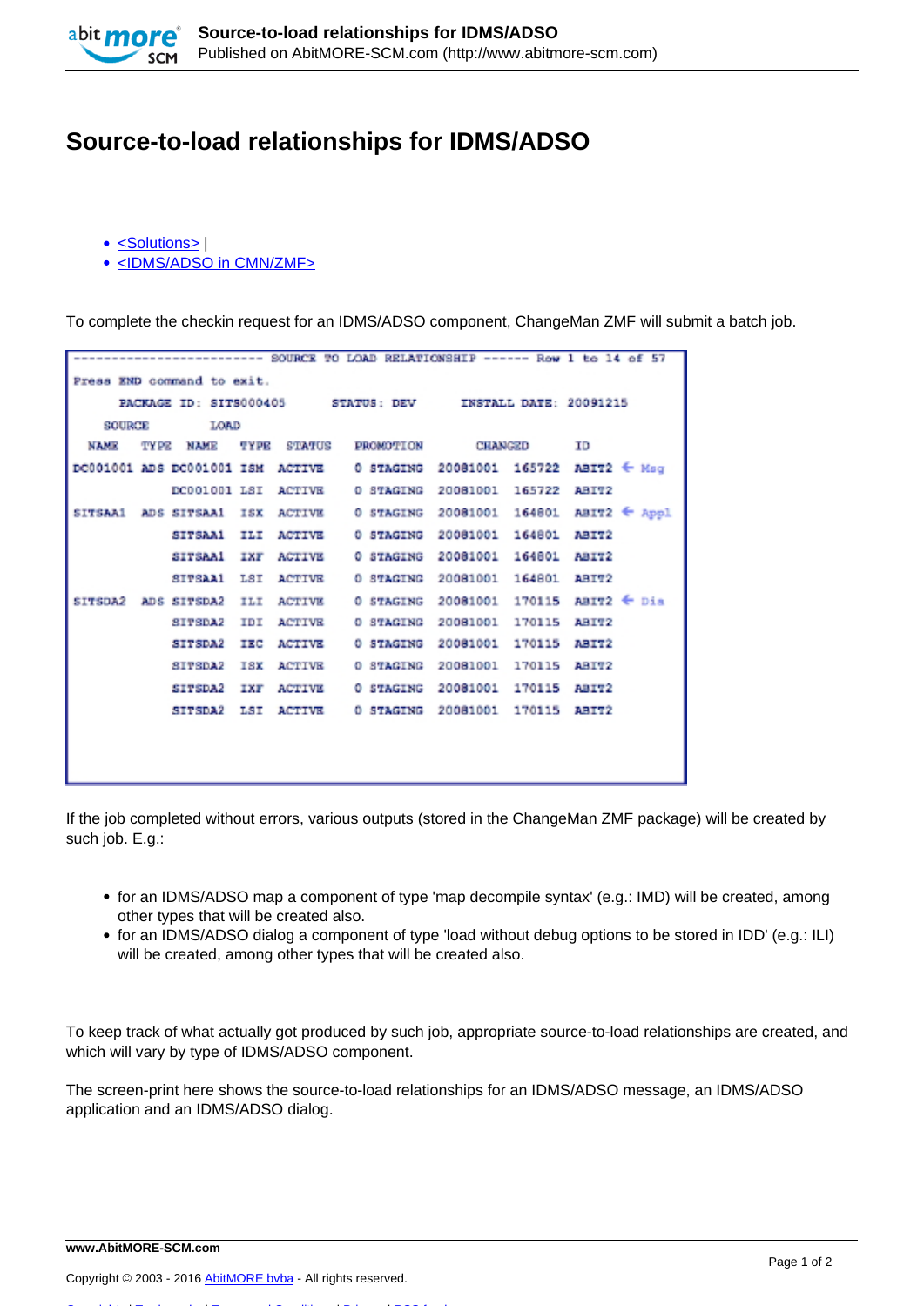

## **Source-to-load relationships for IDMS/ADSO**

- [<Solutions>](http://www.abitmore-scm.com/taxonomy/term/34) |
- [<IDMS/ADSO in CMN/ZMF>](http://www.abitmore-scm.com/taxonomy/term/14)

To complete the checkin request for an IDMS/ADSO component, ChangeMan ZMF will submit a batch job.

| ----------------- SOURCE TO LOAD RELATIONSHIP ------ Row 1 to 14 of 57 |  |                         |     |               |                                                                                   |                       |              |                                       |  |  |  |  |
|------------------------------------------------------------------------|--|-------------------------|-----|---------------|-----------------------------------------------------------------------------------|-----------------------|--------------|---------------------------------------|--|--|--|--|
| Press END command to exit.                                             |  |                         |     |               |                                                                                   |                       |              |                                       |  |  |  |  |
| PACKAGE ID: SITS000405 STATUS: DEV INSTALL DATE: 20091215              |  |                         |     |               |                                                                                   |                       |              |                                       |  |  |  |  |
| <b>LOAD</b><br>SOURCE                                                  |  |                         |     |               |                                                                                   |                       |              |                                       |  |  |  |  |
| <b>NAME</b>                                                            |  |                         |     |               | TYPE NAME TYPE STATUS PROMOTION CHANGED                                           |                       |              | ΙD                                    |  |  |  |  |
|                                                                        |  |                         |     |               | DC001001 ADS DC001001 ISM ACTIVE 0 STAGING 20081001 165722 ABIT2 $\leftarrow$ Msq |                       |              |                                       |  |  |  |  |
|                                                                        |  |                         |     |               | DC001001 LSI ACTIVE 0 STAGING 20081001 165722                                     |                       |              | ABIT2                                 |  |  |  |  |
|                                                                        |  | SITSAA1 ADS SITSAA1 ISX |     |               | ACTIVE 0 STAGING                                                                  | 20081001 164801       |              | $ABTZ \leftarrow Appl$                |  |  |  |  |
|                                                                        |  | SITSAA1 ILI             |     | <b>ACTIVE</b> | 0 STAGING 20081001 164801 ABIT2                                                   |                       |              |                                       |  |  |  |  |
|                                                                        |  | SITSAA1 IXF             |     |               | ACTIVE 0 STAGING 20081001 164801 ABIT2                                            |                       |              |                                       |  |  |  |  |
|                                                                        |  | SITSAA1 LSI             |     |               | ACTIVE 0 STAGING 20081001 164801 ABIT2                                            |                       |              |                                       |  |  |  |  |
| SITSDA2                                                                |  | ADS SITSDA2 ILI         |     | <b>ACTIVE</b> |                                                                                   |                       |              | 0 STAGING 20081001 170115 ABIT2 ← Dia |  |  |  |  |
|                                                                        |  | SITSDA2 IDI             |     | <b>ACTIVE</b> | O STAGING                                                                         | 20081001 170115 ABIT2 |              |                                       |  |  |  |  |
|                                                                        |  | SITSDA2                 | IEC | <b>ACTIVE</b> | 0 STAGING                                                                         | 20081001 170115 ABIT2 |              |                                       |  |  |  |  |
|                                                                        |  | SITSDA2                 | ISX | <b>ACTIVE</b> | O STAGING                                                                         | 20081001 170115 ABIT2 |              |                                       |  |  |  |  |
|                                                                        |  | SITSDA2                 | IXF | <b>ACTIVE</b> | O STAGING                                                                         | 20081001              | 170115 ABIT2 |                                       |  |  |  |  |
|                                                                        |  | <b>SITSDA2</b>          | LSI | <b>ACTIVE</b> | 0 STAGING 20081001                                                                |                       | 170115 ABIT2 |                                       |  |  |  |  |
|                                                                        |  |                         |     |               |                                                                                   |                       |              |                                       |  |  |  |  |
|                                                                        |  |                         |     |               |                                                                                   |                       |              |                                       |  |  |  |  |
|                                                                        |  |                         |     |               |                                                                                   |                       |              |                                       |  |  |  |  |

If the job completed without errors, various outputs (stored in the ChangeMan ZMF package) will be created by such job. E.g.:

- for an IDMS/ADSO map a component of type 'map decompile syntax' (e.g.: IMD) will be created, among other types that will be created also.
- for an IDMS/ADSO dialog a component of type 'load without debug options to be stored in IDD' (e.g.: ILI) will be created, among other types that will be created also.

To keep track of what actually got produced by such job, appropriate source-to-load relationships are created, and which will vary by type of IDMS/ADSO component.

The screen-print here shows the source-to-load relationships for an IDMS/ADSO message, an IDMS/ADSO application and an IDMS/ADSO dialog.